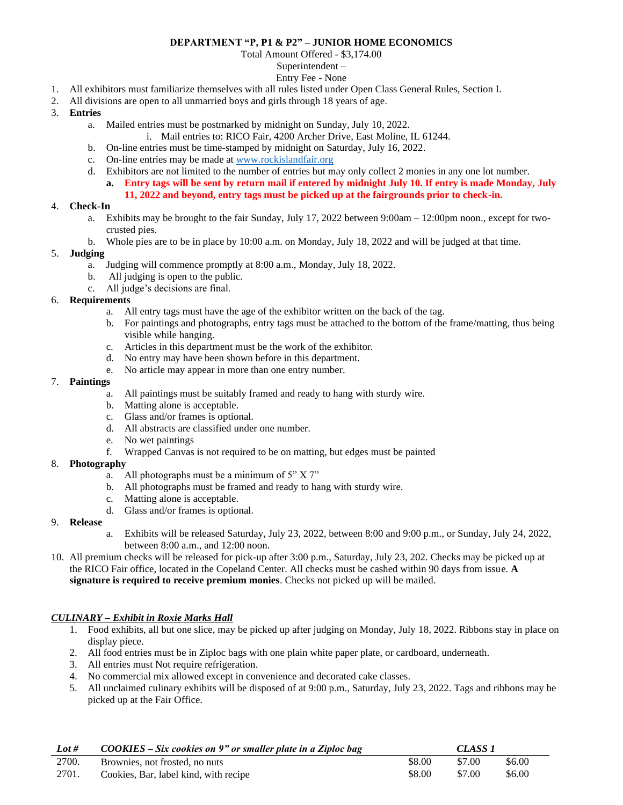## **DEPARTMENT "P, P1 & P2" – JUNIOR HOME ECONOMICS**

Total Amount Offered - \$3,174.00

Superintendent –

#### Entry Fee - None

- 1. All exhibitors must familiarize themselves with all rules listed under Open Class General Rules, Section I.
- 2. All divisions are open to all unmarried boys and girls through 18 years of age.
- 3. **Entries**
	- a. Mailed entries must be postmarked by midnight on Sunday, July 10, 2022.
		- i. Mail entries to: RICO Fair, 4200 Archer Drive, East Moline, IL 61244.
	- b. On-line entries must be time-stamped by midnight on Saturday, July 16, 2022.
	- c. On-line entries may be made at [www.rockislandfair.org](http://www.rockislandfair.org/)
	- d. Exhibitors are not limited to the number of entries but may only collect 2 monies in any one lot number.
		- **a. Entry tags will be sent by return mail if entered by midnight July 10. If entry is made Monday, July 11, 2022 and beyond, entry tags must be picked up at the fairgrounds prior to check-in.**

#### 4. **Check-In**

- a. Exhibits may be brought to the fair Sunday, July 17, 2022 between 9:00am 12:00pm noon., except for twocrusted pies.
- b. Whole pies are to be in place by 10:00 a.m. on Monday, July 18, 2022 and will be judged at that time.

#### 5. **Judging**

- a. Judging will commence promptly at 8:00 a.m., Monday, July 18, 2022.
- b. All judging is open to the public.
- c. All judge's decisions are final.

#### 6. **Requirements**

- a. All entry tags must have the age of the exhibitor written on the back of the tag.
- b. For paintings and photographs, entry tags must be attached to the bottom of the frame/matting, thus being visible while hanging.
- c. Articles in this department must be the work of the exhibitor.
- d. No entry may have been shown before in this department.
- e. No article may appear in more than one entry number.

#### 7. **Paintings**

- a. All paintings must be suitably framed and ready to hang with sturdy wire.
- b. Matting alone is acceptable.
- c. Glass and/or frames is optional.
- d. All abstracts are classified under one number.
- e. No wet paintings
- f. Wrapped Canvas is not required to be on matting, but edges must be painted

### 8. **Photography**

- a. All photographs must be a minimum of 5" X 7"
- b. All photographs must be framed and ready to hang with sturdy wire.
- c. Matting alone is acceptable.
- d. Glass and/or frames is optional.

#### 9. **Release**

- a. Exhibits will be released Saturday, July 23, 2022, between 8:00 and 9:00 p.m., or Sunday, July 24, 2022, between 8:00 a.m., and 12:00 noon.
- 10. All premium checks will be released for pick-up after 3:00 p.m., Saturday, July 23, 202. Checks may be picked up at the RICO Fair office, located in the Copeland Center. All checks must be cashed within 90 days from issue. **A signature is required to receive premium monies**. Checks not picked up will be mailed.

### *CULINARY – Exhibit in Roxie Marks Hall*

- 1. Food exhibits, all but one slice, may be picked up after judging on Monday, July 18, 2022. Ribbons stay in place on display piece.
- 2. All food entries must be in Ziploc bags with one plain white paper plate, or cardboard, underneath.
- 3. All entries must Not require refrigeration.
- 4. No commercial mix allowed except in convenience and decorated cake classes.
- 5. All unclaimed culinary exhibits will be disposed of at 9:00 p.m., Saturday, July 23, 2022. Tags and ribbons may be picked up at the Fair Office.

| Lot # | COOKIES – Six cookies on 9" or smaller plate in a Ziploc bag | CLASS <sub>1</sub> |        |        |
|-------|--------------------------------------------------------------|--------------------|--------|--------|
| 2700. | Brownies, not frosted, no nuts                               | \$8.00             | \$7.00 | \$6.00 |
| 2701. | Cookies, Bar, label kind, with recipe                        | \$8.00             | \$7.00 | \$6.00 |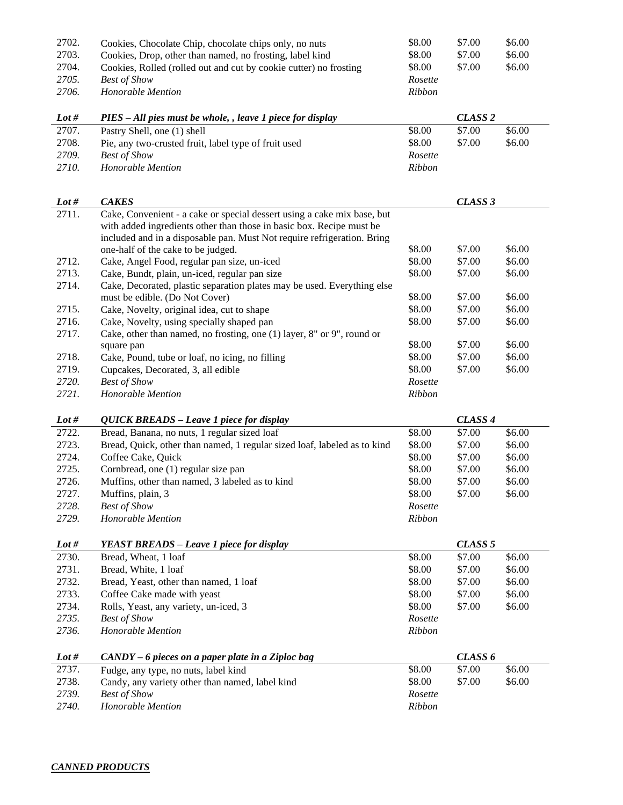| 2702.          | Cookies, Chocolate Chip, chocolate chips only, no nuts                   | \$8.00            | \$7.00             | \$6.00 |
|----------------|--------------------------------------------------------------------------|-------------------|--------------------|--------|
| 2703.          | Cookies, Drop, other than named, no frosting, label kind                 | \$8.00            | \$7.00             | \$6.00 |
| 2704.          | Cookies, Rolled (rolled out and cut by cookie cutter) no frosting        | \$8.00            | \$7.00             | \$6.00 |
| 2705.          | <b>Best of Show</b>                                                      | Rosette           |                    |        |
| 2706.          | Honorable Mention                                                        | Ribbon            |                    |        |
|                |                                                                          |                   |                    |        |
| Lot #          | PIES - All pies must be whole, , leave 1 piece for display               |                   | CLASS <sub>2</sub> |        |
| 2707.          | Pastry Shell, one (1) shell                                              | \$8.00            | \$7.00             | \$6.00 |
| 2708.          | Pie, any two-crusted fruit, label type of fruit used                     | \$8.00            | \$7.00             | \$6.00 |
| 2709.          | <b>Best of Show</b>                                                      | Rosette           |                    |        |
| 2710.          | Honorable Mention                                                        | Ribbon            |                    |        |
|                |                                                                          |                   |                    |        |
| Lot $#$        | <b>CAKES</b>                                                             |                   | CLASS <sub>3</sub> |        |
| 2711.          | Cake, Convenient - a cake or special dessert using a cake mix base, but  |                   |                    |        |
|                | with added ingredients other than those in basic box. Recipe must be     |                   |                    |        |
|                | included and in a disposable pan. Must Not require refrigeration. Bring  |                   |                    |        |
|                | one-half of the cake to be judged.                                       | \$8.00            | \$7.00             | \$6.00 |
| 2712.          | Cake, Angel Food, regular pan size, un-iced                              | \$8.00            | \$7.00             | \$6.00 |
| 2713.          | Cake, Bundt, plain, un-iced, regular pan size                            | \$8.00            | \$7.00             | \$6.00 |
| 2714.          | Cake, Decorated, plastic separation plates may be used. Everything else  |                   |                    |        |
|                | must be edible. (Do Not Cover)                                           | \$8.00            | \$7.00             | \$6.00 |
| 2715.          | Cake, Novelty, original idea, cut to shape                               | \$8.00            | \$7.00             | \$6.00 |
| 2716.          | Cake, Novelty, using specially shaped pan                                | \$8.00            | \$7.00             | \$6.00 |
| 2717.          | Cake, other than named, no frosting, one (1) layer, 8" or 9", round or   |                   |                    |        |
|                | square pan                                                               | \$8.00            | \$7.00             | \$6.00 |
| 2718.          | Cake, Pound, tube or loaf, no icing, no filling                          | \$8.00            | \$7.00             | \$6.00 |
| 2719.          | Cupcakes, Decorated, 3, all edible                                       | \$8.00            | \$7.00             | \$6.00 |
|                | <b>Best of Show</b>                                                      | Rosette           |                    |        |
| 2720.          |                                                                          |                   |                    |        |
| 2721.          | Honorable Mention                                                        | Ribbon            |                    |        |
|                |                                                                          |                   |                    |        |
| Lot $#$        | QUICK BREADS - Leave 1 piece for display                                 |                   | CLASS 4            |        |
| 2722.          | Bread, Banana, no nuts, 1 regular sized loaf                             | \$8.00            | \$7.00             | \$6.00 |
| 2723.          | Bread, Quick, other than named, 1 regular sized loaf, labeled as to kind | \$8.00            | \$7.00             | \$6.00 |
| 2724.          | Coffee Cake, Quick                                                       | \$8.00            | \$7.00             | \$6.00 |
| 2725.          | Cornbread, one (1) regular size pan                                      | \$8.00            | \$7.00             | \$6.00 |
| 2726.          | Muffins, other than named, 3 labeled as to kind                          | \$8.00            | \$7.00             | \$6.00 |
| 2727.          | Muffins, plain, 3                                                        | \$8.00            | \$7.00             | \$6.00 |
| 2728.          | <b>Best of Show</b>                                                      | Rosette           |                    |        |
| 2729.          | Honorable Mention                                                        | Ribbon            |                    |        |
| Lot #          | <b>YEAST BREADS – Leave 1 piece for display</b>                          |                   | CLASS <sub>5</sub> |        |
| 2730.          | Bread, Wheat, 1 loaf                                                     | \$8.00            | \$7.00             | \$6.00 |
| 2731.          | Bread, White, 1 loaf                                                     | \$8.00            | \$7.00             | \$6.00 |
| 2732.          | Bread, Yeast, other than named, 1 loaf                                   | \$8.00            | \$7.00             | \$6.00 |
| 2733.          | Coffee Cake made with yeast                                              | \$8.00            | \$7.00             | \$6.00 |
| 2734.          |                                                                          | \$8.00            | \$7.00             | \$6.00 |
| 2735.          | Rolls, Yeast, any variety, un-iced, 3<br><b>Best of Show</b>             | Rosette           |                    |        |
| 2736.          | Honorable Mention                                                        | <b>Ribbon</b>     |                    |        |
|                |                                                                          |                   |                    |        |
| Lot $#$        | $CANDY - 6$ pieces on a paper plate in a Ziploc bag                      |                   | CLASS <sub>6</sub> |        |
| 2737.          | Fudge, any type, no nuts, label kind                                     | \$8.00            | \$7.00             | \$6.00 |
| 2738.          | Candy, any variety other than named, label kind                          | \$8.00            | \$7.00             | \$6.00 |
| 2739.<br>2740. | <b>Best of Show</b><br>Honorable Mention                                 | Rosette<br>Ribbon |                    |        |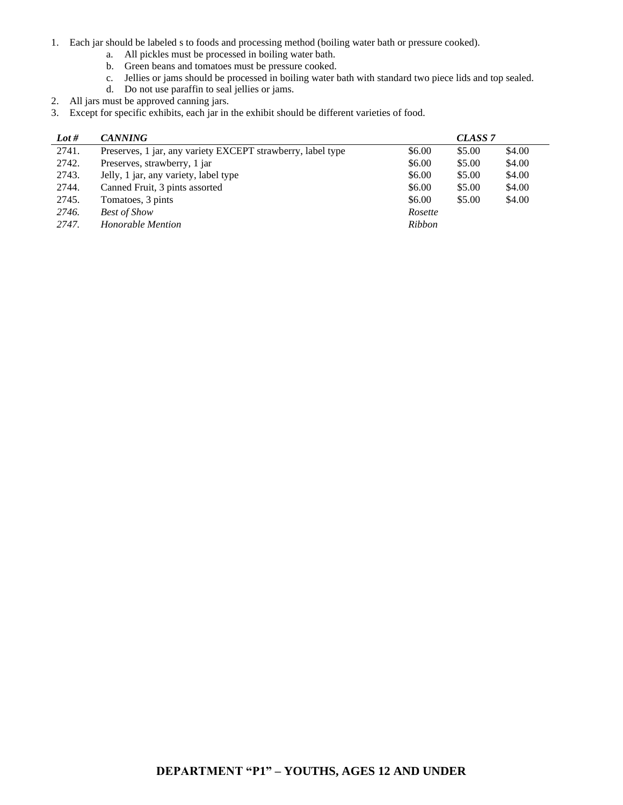- 1. Each jar should be labeled s to foods and processing method (boiling water bath or pressure cooked).
	- a. All pickles must be processed in boiling water bath.
	- b. Green beans and tomatoes must be pressure cooked.
	- c. Jellies or jams should be processed in boiling water bath with standard two piece lids and top sealed.
	- d. Do not use paraffin to seal jellies or jams.
- 2. All jars must be approved canning jars.
- 3. Except for specific exhibits, each jar in the exhibit should be different varieties of food.

| Lot # | <b>CANNING</b>                                              |               | CLASS <sub>7</sub> |        |
|-------|-------------------------------------------------------------|---------------|--------------------|--------|
| 2741. | Preserves, 1 jar, any variety EXCEPT strawberry, label type | \$6.00        | \$5.00             | \$4.00 |
| 2742. | Preserves, strawberry, 1 jar                                | \$6.00        | \$5.00             | \$4.00 |
| 2743. | Jelly, 1 jar, any variety, label type                       | \$6.00        | \$5.00             | \$4.00 |
| 2744. | Canned Fruit, 3 pints assorted                              | \$6.00        | \$5.00             | \$4.00 |
| 2745. | Tomatoes, 3 pints                                           | \$6.00        | \$5.00             | \$4.00 |
| 2746. | <b>Best of Show</b>                                         | Rosette       |                    |        |
| 2747. | Honorable Mention                                           | <i>Ribbon</i> |                    |        |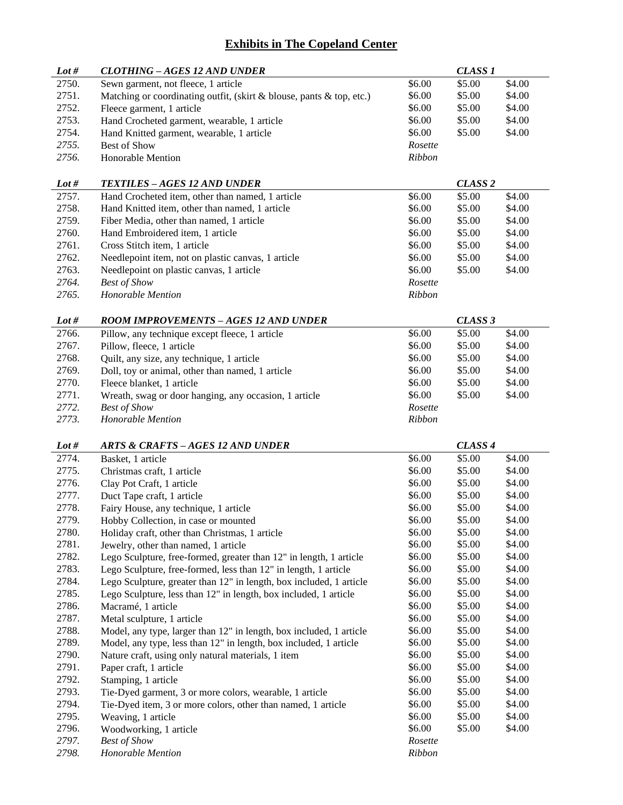# **Exhibits in The Copeland Center**

| Lot $#$        | <b>CLOTHING - AGES 12 AND UNDER</b>                                  |                   | <b>CLASS 1</b>     |        |
|----------------|----------------------------------------------------------------------|-------------------|--------------------|--------|
| 2750.          | Sewn garment, not fleece, 1 article                                  | \$6.00            | \$5.00             | \$4.00 |
| 2751.          | Matching or coordinating outfit, (skirt & blouse, pants & top, etc.) | \$6.00            | \$5.00             | \$4.00 |
| 2752.          | Fleece garment, 1 article                                            | \$6.00            | \$5.00             | \$4.00 |
| 2753.          | Hand Crocheted garment, wearable, 1 article                          | \$6.00            | \$5.00             | \$4.00 |
| 2754.          | Hand Knitted garment, wearable, 1 article                            | \$6.00            | \$5.00             | \$4.00 |
| 2755.          | Best of Show                                                         | Rosette           |                    |        |
| 2756.          | Honorable Mention                                                    | Ribbon            |                    |        |
|                |                                                                      |                   |                    |        |
| Lot $#$        | TEXTILES - AGES 12 AND UNDER                                         |                   | CLASS <sub>2</sub> |        |
| 2757.          | Hand Crocheted item, other than named, 1 article                     | \$6.00            | \$5.00             | \$4.00 |
| 2758.          | Hand Knitted item, other than named, 1 article                       | \$6.00            | \$5.00             | \$4.00 |
| 2759.          | Fiber Media, other than named, 1 article                             | \$6.00            | \$5.00             | \$4.00 |
| 2760.          | Hand Embroidered item, 1 article                                     | \$6.00            | \$5.00             | \$4.00 |
| 2761.          | Cross Stitch item, 1 article                                         | \$6.00            | \$5.00             | \$4.00 |
| 2762.          | Needlepoint item, not on plastic canvas, 1 article                   | \$6.00            | \$5.00             | \$4.00 |
| 2763.          | Needlepoint on plastic canvas, 1 article                             | \$6.00            | \$5.00             | \$4.00 |
| 2764.          | <b>Best of Show</b>                                                  | Rosette           |                    |        |
| 2765.          | Honorable Mention                                                    | Ribbon            |                    |        |
|                |                                                                      |                   |                    |        |
| Lot $#$        | <b>ROOM IMPROVEMENTS - AGES 12 AND UNDER</b>                         |                   | CLASS <sub>3</sub> |        |
| 2766.          | Pillow, any technique except fleece, 1 article                       | \$6.00            | \$5.00             | \$4.00 |
| 2767.          | Pillow, fleece, 1 article                                            | \$6.00            | \$5.00             | \$4.00 |
| 2768.          | Quilt, any size, any technique, 1 article                            | \$6.00            | \$5.00             | \$4.00 |
| 2769.          | Doll, toy or animal, other than named, 1 article                     | \$6.00            | \$5.00             | \$4.00 |
| 2770.          | Fleece blanket, 1 article                                            | \$6.00            | \$5.00             | \$4.00 |
| 2771.          | Wreath, swag or door hanging, any occasion, 1 article                | \$6.00            | \$5.00             | \$4.00 |
| 2772.          | <b>Best of Show</b>                                                  | Rosette           |                    |        |
|                |                                                                      |                   |                    |        |
| 2773.          | Honorable Mention                                                    | Ribbon            |                    |        |
|                |                                                                      |                   |                    |        |
| Lot $#$        | <b>ARTS &amp; CRAFTS-AGES 12 AND UNDER</b>                           |                   | CLASS <sub>4</sub> |        |
| 2774.          | Basket, 1 article                                                    | \$6.00            | \$5.00             | \$4.00 |
| 2775.          | Christmas craft, 1 article                                           | \$6.00            | \$5.00             | \$4.00 |
| 2776.          | Clay Pot Craft, 1 article                                            | \$6.00            | \$5.00             | \$4.00 |
| 2777.          | Duct Tape craft, 1 article                                           | \$6.00            | \$5.00             | \$4.00 |
| 2778.          |                                                                      | \$6.00            | \$5.00             | \$4.00 |
| 2779.          | Fairy House, any technique, 1 article                                | \$6.00            | \$5.00             | \$4.00 |
| 2780.          | Hobby Collection, in case or mounted                                 | \$6.00            | \$5.00             | \$4.00 |
| 2781.          | Holiday craft, other than Christmas, 1 article                       | \$6.00            | \$5.00             | \$4.00 |
| 2782.          | Jewelry, other than named, 1 article                                 | \$6.00            | \$5.00             | \$4.00 |
| 2783.          | Lego Sculpture, free-formed, greater than 12" in length, 1 article   | \$6.00            | \$5.00             | \$4.00 |
|                | Lego Sculpture, free-formed, less than 12" in length, 1 article      |                   |                    | \$4.00 |
| 2784.          | Lego Sculpture, greater than 12" in length, box included, 1 article  | \$6.00            | \$5.00             |        |
| 2785.          | Lego Sculpture, less than 12" in length, box included, 1 article     | \$6.00            | \$5.00             | \$4.00 |
| 2786.          | Macramé, 1 article                                                   | \$6.00            | \$5.00             | \$4.00 |
| 2787.          | Metal sculpture, 1 article                                           | \$6.00            | \$5.00             | \$4.00 |
| 2788.          | Model, any type, larger than 12" in length, box included, 1 article  | \$6.00            | \$5.00             | \$4.00 |
| 2789.          | Model, any type, less than 12" in length, box included, 1 article    | \$6.00            | \$5.00             | \$4.00 |
| 2790.          | Nature craft, using only natural materials, 1 item                   | \$6.00            | \$5.00             | \$4.00 |
| 2791.          | Paper craft, 1 article                                               | \$6.00            | \$5.00             | \$4.00 |
| 2792.          | Stamping, 1 article                                                  | \$6.00            | \$5.00             | \$4.00 |
| 2793.          | Tie-Dyed garment, 3 or more colors, wearable, 1 article              | \$6.00            | \$5.00             | \$4.00 |
| 2794.          | Tie-Dyed item, 3 or more colors, other than named, 1 article         | \$6.00            | \$5.00             | \$4.00 |
| 2795.          | Weaving, 1 article                                                   | \$6.00            | \$5.00             | \$4.00 |
| 2796.          | Woodworking, 1 article                                               | \$6.00            | \$5.00             | \$4.00 |
| 2797.<br>2798. | <b>Best of Show</b><br>Honorable Mention                             | Rosette<br>Ribbon |                    |        |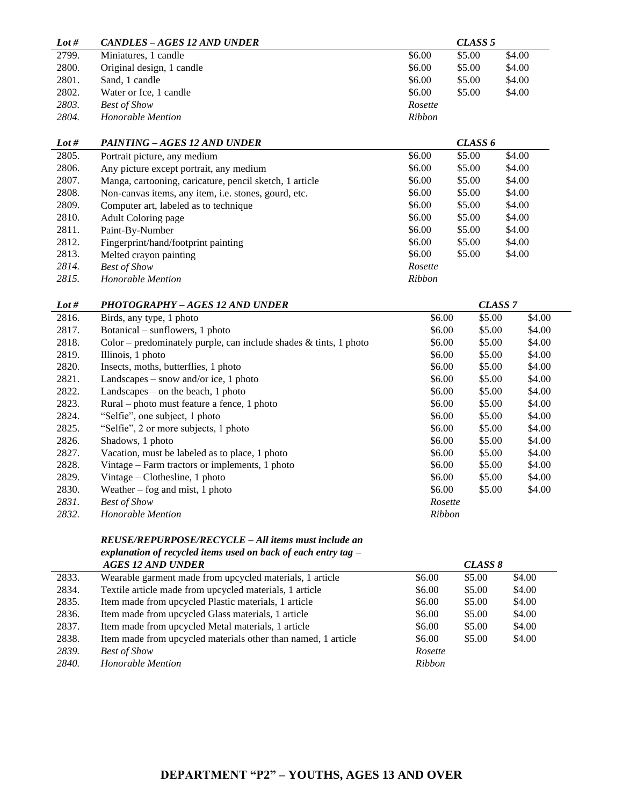| Lot # | CANDLES – AGES 12 AND UNDER |               | CLASS <sub>5</sub> |        |
|-------|-----------------------------|---------------|--------------------|--------|
| 2799. | Miniatures, 1 candle        | \$6.00        | \$5.00             | \$4.00 |
| 2800. | Original design, 1 candle   | \$6.00        | \$5.00             | \$4.00 |
| 2801. | Sand, 1 candle              | \$6.00        | \$5.00             | \$4.00 |
| 2802. | Water or Ice, 1 candle      | \$6.00        | \$5.00             | \$4.00 |
| 2803. | <b>Best of Show</b>         | Rosette       |                    |        |
| 2804. | Honorable Mention           | <b>Ribbon</b> |                    |        |

| Lot # | PAINTING – AGES 12 AND UNDER                            |               | CLASS 6 |        |
|-------|---------------------------------------------------------|---------------|---------|--------|
| 2805. | Portrait picture, any medium                            | \$6.00        | \$5.00  | \$4.00 |
| 2806. | Any picture except portrait, any medium                 | \$6.00        | \$5.00  | \$4.00 |
| 2807. | Manga, cartooning, caricature, pencil sketch, 1 article | \$6.00        | \$5.00  | \$4.00 |
| 2808. | Non-canvas items, any item, i.e. stones, gourd, etc.    | \$6.00        | \$5.00  | \$4.00 |
| 2809. | Computer art, labeled as to technique                   | \$6.00        | \$5.00  | \$4.00 |
| 2810. | Adult Coloring page                                     | \$6.00        | \$5.00  | \$4.00 |
| 2811. | Paint-By-Number                                         | \$6.00        | \$5.00  | \$4.00 |
| 2812. | Fingerprint/hand/footprint painting                     | \$6.00        | \$5.00  | \$4.00 |
| 2813. | Melted crayon painting                                  | \$6.00        | \$5.00  | \$4.00 |
| 2814. | <b>Best of Show</b>                                     | Rosette       |         |        |
| 2815. | Honorable Mention                                       | <b>Ribbon</b> |         |        |

| Lot # | <b>PHOTOGRAPHY - AGES 12 AND UNDER</b>                               |               | CLASS <sub>7</sub> |        |
|-------|----------------------------------------------------------------------|---------------|--------------------|--------|
| 2816. | Birds, any type, 1 photo                                             | \$6.00        | \$5.00             | \$4.00 |
| 2817. | Botanical – sunflowers, 1 photo                                      | \$6.00        | \$5.00             | \$4.00 |
| 2818. | Color – predominately purple, can include shades $\&$ tints, 1 photo | \$6.00        | \$5.00             | \$4.00 |
| 2819. | Illinois, 1 photo                                                    | \$6.00        | \$5.00             | \$4.00 |
| 2820. | Insects, moths, butterflies, 1 photo                                 | \$6.00        | \$5.00             | \$4.00 |
| 2821. | Landscapes – snow and/or ice, 1 photo                                | \$6.00        | \$5.00             | \$4.00 |
| 2822. | Landscapes $-$ on the beach, 1 photo                                 | \$6.00        | \$5.00             | \$4.00 |
| 2823. | Rural – photo must feature a fence, 1 photo                          | \$6.00        | \$5.00             | \$4.00 |
| 2824. | "Selfie", one subject, 1 photo                                       | \$6.00        | \$5.00             | \$4.00 |
| 2825. | "Selfie", 2 or more subjects, 1 photo                                | \$6.00        | \$5.00             | \$4.00 |
| 2826. | Shadows, 1 photo                                                     | \$6.00        | \$5.00             | \$4.00 |
| 2827. | Vacation, must be labeled as to place, 1 photo                       | \$6.00        | \$5.00             | \$4.00 |
| 2828. | Vintage $-$ Farm tractors or implements, 1 photo                     | \$6.00        | \$5.00             | \$4.00 |
| 2829. | Vintage – Clothesline, 1 photo                                       | \$6.00        | \$5.00             | \$4.00 |
| 2830. | Weather $-$ fog and mist, 1 photo                                    | \$6.00        | \$5.00             | \$4.00 |
| 2831. | <b>Best of Show</b>                                                  | Rosette       |                    |        |
| 2832. | Honorable Mention                                                    | <b>Ribbon</b> |                    |        |

# *REUSE/REPURPOSE/RECYCLE – All items must include an explanation of recycled items used on back of each entry tag –*

|       | <b>AGES 12 AND UNDER</b>                                      |         | CLASS 8 |        |
|-------|---------------------------------------------------------------|---------|---------|--------|
| 2833. | Wearable garment made from upcycled materials, 1 article      | \$6.00  | \$5.00  | \$4.00 |
| 2834. | Textile article made from upcycled materials, 1 article       | \$6.00  | \$5.00  | \$4.00 |
| 2835. | Item made from upcycled Plastic materials, 1 article          | \$6.00  | \$5.00  | \$4.00 |
| 2836. | Item made from upcycled Glass materials, 1 article            | \$6.00  | \$5.00  | \$4.00 |
| 2837. | Item made from upcycled Metal materials, 1 article            | \$6.00  | \$5.00  | \$4.00 |
| 2838. | Item made from upcycled materials other than named, 1 article | \$6.00  | \$5.00  | \$4.00 |
| 2839. | <b>Best of Show</b>                                           | Rosette |         |        |
| 2840. | <b>Honorable Mention</b>                                      | Ribbon  |         |        |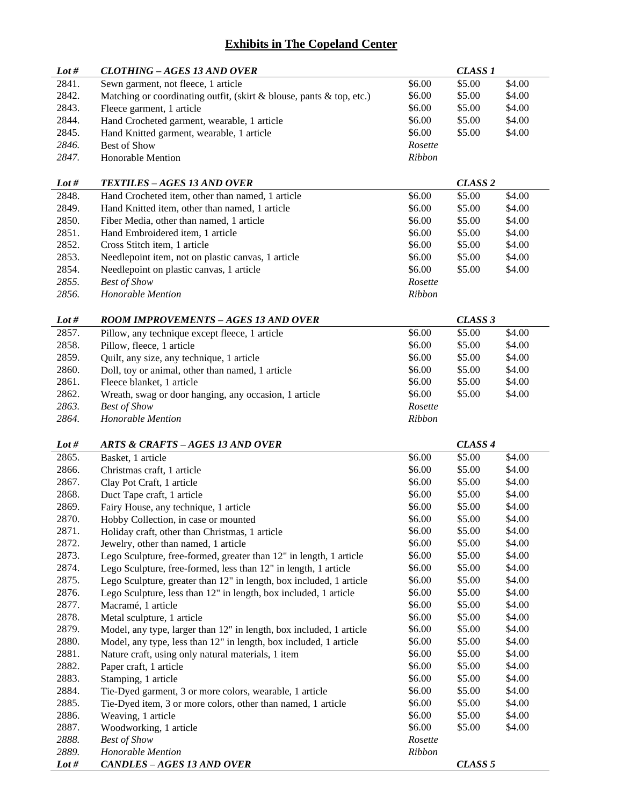# **Exhibits in The Copeland Center**

| Lot $#$        | <b>CLOTHING - AGES 13 AND OVER</b>                                   |                    | <b>CLASS 1</b>     |                  |
|----------------|----------------------------------------------------------------------|--------------------|--------------------|------------------|
| 2841.          | Sewn garment, not fleece, 1 article                                  | $\overline{$}6.00$ | \$5.00             | \$4.00           |
| 2842.          | Matching or coordinating outfit, (skirt & blouse, pants & top, etc.) | \$6.00             | \$5.00             | \$4.00           |
| 2843.          | Fleece garment, 1 article                                            | \$6.00             | \$5.00             | \$4.00           |
| 2844.          | Hand Crocheted garment, wearable, 1 article                          | \$6.00             | \$5.00             | \$4.00           |
| 2845.          | Hand Knitted garment, wearable, 1 article                            | \$6.00             | \$5.00             | \$4.00           |
| 2846.          | Best of Show                                                         | Rosette            |                    |                  |
| 2847.          | <b>Honorable Mention</b>                                             | Ribbon             |                    |                  |
|                |                                                                      |                    |                    |                  |
| Lot $#$        | TEXTILES - AGES 13 AND OVER                                          |                    | CLASS <sub>2</sub> |                  |
| 2848.          | Hand Crocheted item, other than named, 1 article                     | \$6.00             | \$5.00             | \$4.00           |
| 2849.          | Hand Knitted item, other than named, 1 article                       | \$6.00             | \$5.00             | \$4.00           |
| 2850.          | Fiber Media, other than named, 1 article                             | \$6.00             | \$5.00             | \$4.00           |
| 2851.          | Hand Embroidered item, 1 article                                     | \$6.00             | \$5.00             | \$4.00           |
| 2852.          | Cross Stitch item, 1 article                                         | \$6.00             | \$5.00             | \$4.00           |
| 2853.          | Needlepoint item, not on plastic canvas, 1 article                   | \$6.00             | \$5.00             | \$4.00           |
| 2854.          | Needlepoint on plastic canvas, 1 article                             | \$6.00             | \$5.00             | \$4.00           |
| 2855.          | <b>Best of Show</b>                                                  | Rosette            |                    |                  |
| 2856.          | Honorable Mention                                                    | Ribbon             |                    |                  |
|                |                                                                      |                    |                    |                  |
| Lot $#$        | <b>ROOM IMPROVEMENTS - AGES 13 AND OVER</b>                          |                    | CLASS <sub>3</sub> |                  |
| 2857.          | Pillow, any technique except fleece, 1 article                       | \$6.00             | \$5.00             | \$4.00           |
| 2858.          | Pillow, fleece, 1 article                                            | \$6.00             | \$5.00             | \$4.00           |
| 2859.          | Quilt, any size, any technique, 1 article                            | \$6.00             | \$5.00             | \$4.00           |
| 2860.          | Doll, toy or animal, other than named, 1 article                     | \$6.00             | \$5.00             | \$4.00           |
| 2861.          | Fleece blanket, 1 article                                            | \$6.00             | \$5.00             | \$4.00           |
| 2862.          | Wreath, swag or door hanging, any occasion, 1 article                | \$6.00             | \$5.00             | \$4.00           |
| 2863.          | <b>Best of Show</b>                                                  | Rosette            |                    |                  |
| 2864.          | Honorable Mention                                                    | Ribbon             |                    |                  |
| Lot $#$        | <b>ARTS &amp; CRAFTS - AGES 13 AND OVER</b>                          |                    | CLASS <sub>4</sub> |                  |
| 2865.          | Basket, 1 article                                                    | \$6.00             | \$5.00             | \$4.00           |
| 2866.          | Christmas craft, 1 article                                           | \$6.00             | \$5.00             | \$4.00           |
|                |                                                                      |                    |                    |                  |
|                |                                                                      |                    |                    |                  |
| 2867.          | Clay Pot Craft, 1 article                                            | \$6.00             | \$5.00             | \$4.00           |
| 2868.          | Duct Tape craft, 1 article                                           | \$6.00             | \$5.00             | \$4.00           |
| 2869.          | Fairy House, any technique, 1 article                                | \$6.00             | \$5.00             | \$4.00           |
| 2870.          | Hobby Collection, in case or mounted                                 | \$6.00             | \$5.00             | \$4.00           |
| 2871.          | Holiday craft, other than Christmas, 1 article                       | \$6.00             | \$5.00             | \$4.00           |
| 2872.          | Jewelry, other than named, 1 article                                 | \$6.00             | \$5.00             | \$4.00           |
| 2873.          | Lego Sculpture, free-formed, greater than 12" in length, 1 article   | \$6.00             | \$5.00             | \$4.00           |
| 2874.          | Lego Sculpture, free-formed, less than 12" in length, 1 article      | \$6.00             | \$5.00             | \$4.00           |
| 2875.          | Lego Sculpture, greater than 12" in length, box included, 1 article  | \$6.00             | \$5.00             | \$4.00           |
| 2876.          | Lego Sculpture, less than 12" in length, box included, 1 article     | \$6.00             | \$5.00             | \$4.00           |
| 2877.          | Macramé, 1 article                                                   | \$6.00             | \$5.00             | \$4.00           |
| 2878.          | Metal sculpture, 1 article                                           | \$6.00             | \$5.00             | \$4.00           |
| 2879.          | Model, any type, larger than 12" in length, box included, 1 article  | \$6.00             | \$5.00             | \$4.00           |
| 2880.          | Model, any type, less than 12" in length, box included, 1 article    | \$6.00             | \$5.00             | \$4.00           |
| 2881.<br>2882. | Nature craft, using only natural materials, 1 item                   | \$6.00<br>\$6.00   | \$5.00<br>\$5.00   | \$4.00<br>\$4.00 |
|                | Paper craft, 1 article                                               |                    |                    |                  |
| 2883.          | Stamping, 1 article                                                  | \$6.00             | \$5.00             | \$4.00           |
| 2884.          | Tie-Dyed garment, 3 or more colors, wearable, 1 article              | \$6.00             | \$5.00             | \$4.00           |
| 2885.          | Tie-Dyed item, 3 or more colors, other than named, 1 article         | \$6.00             | \$5.00             | \$4.00           |
| 2886.          | Weaving, 1 article                                                   | \$6.00             | \$5.00             | \$4.00           |
| 2887.          | Woodworking, 1 article                                               | \$6.00             | \$5.00             | \$4.00           |
| 2888.<br>2889. | <b>Best of Show</b><br>Honorable Mention                             | Rosette<br>Ribbon  |                    |                  |